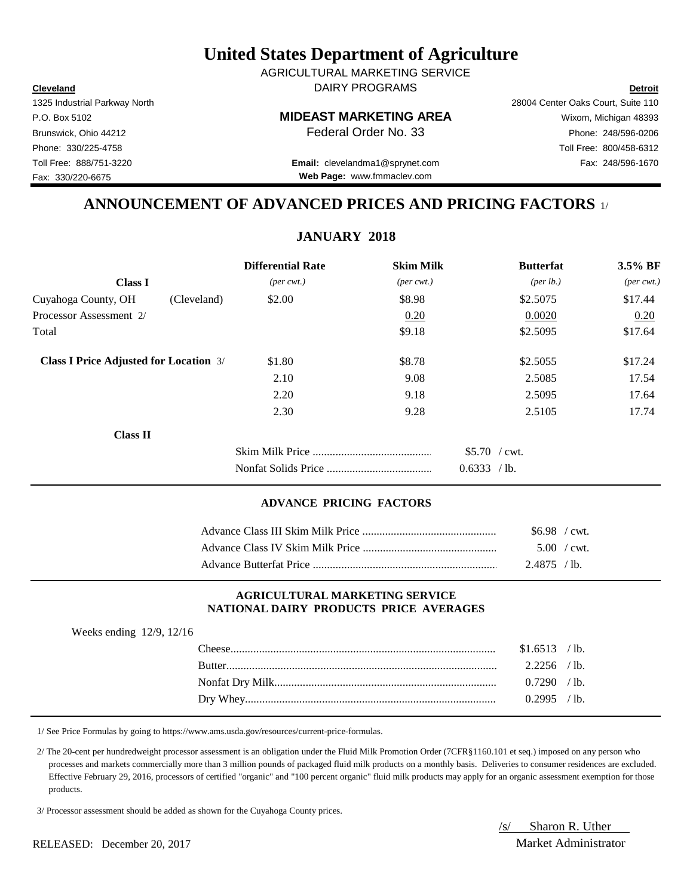**Cleveland Detroit** AGRICULTURAL MARKETING SERVICE DAIRY PROGRAMS

1325 Industrial Parkway North 28004 Center Oaks Court, Suite 110

**Web Page:** www.fmmaclev.com

P.O. Box 5102 **MIDEAST MARKETING AREA** Wixom, Michigan 48393 Brunswick, Ohio 44212 **Phone:** 248/596-0206 **Federal Order No. 33** Phone: 248/596-0206 Phone: 330/225-4758 Toll Free: 800/458-6312 Toll Free: 888/751-3220 Fax: 248/596-1670 **Email:** clevelandma1@sprynet.com

# **ANNOUNCEMENT OF ADVANCED PRICES AND PRICING FACTORS** 1/

# **JANUARY 2018**

|                                               |             | <b>Differential Rate</b>    | <b>Skim Milk</b>            | <b>Butterfat</b>     | 3.5% BF                     |
|-----------------------------------------------|-------------|-----------------------------|-----------------------------|----------------------|-----------------------------|
| <b>Class I</b>                                |             | $(\text{per} \text{ cwt.})$ | $(\text{per} \text{ cwt.})$ | ${\rm (per \, lb.)}$ | $(\text{per} \text{ cwt.})$ |
| Cuyahoga County, OH                           | (Cleveland) | \$2.00                      | \$8.98                      | \$2.5075             | \$17.44                     |
| Processor Assessment 2/                       |             |                             | 0.20                        | 0.0020               | 0.20                        |
| Total                                         |             |                             | \$9.18                      | \$2.5095             | \$17.64                     |
| <b>Class I Price Adjusted for Location 3/</b> |             | \$1.80                      | \$8.78                      | \$2.5055             | \$17.24                     |
|                                               |             | 2.10                        | 9.08                        | 2.5085               | 17.54                       |
|                                               |             | 2.20                        | 9.18                        | 2.5095               | 17.64                       |
|                                               |             | 2.30                        | 9.28                        | 2.5105               | 17.74                       |
| <b>Class II</b>                               |             |                             |                             |                      |                             |
|                                               |             |                             |                             | $$5.70$ / cwt.       |                             |
|                                               |             |                             |                             | 0.6333 / lb.         |                             |

#### **ADVANCE PRICING FACTORS**

| $$6.98$ / cwt.      |  |
|---------------------|--|
| $5.00 / \text{cwt}$ |  |
| $2.4875$ /lb.       |  |

#### **AGRICULTURAL MARKETING SERVICE NATIONAL DAIRY PRODUCTS PRICE AVERAGES**

| Weeks ending $12/9$ , $12/16$ |                |  |
|-------------------------------|----------------|--|
|                               | $$1.6513$ /lb. |  |
|                               | $2.2256$ /lb.  |  |
|                               | 0.7290 / h     |  |
|                               | $0.2995$ /lb.  |  |

1/ See Price Formulas by going to https://www.ams.usda.gov/resources/current-price-formulas.

 2/ The 20-cent per hundredweight processor assessment is an obligation under the Fluid Milk Promotion Order (7CFR§1160.101 et seq.) imposed on any person who processes and markets commercially more than 3 million pounds of packaged fluid milk products on a monthly basis. Deliveries to consumer residences are excluded. Effective February 29, 2016, processors of certified "organic" and "100 percent organic" fluid milk products may apply for an organic assessment exemption for those products.

3/ Processor assessment should be added as shown for the Cuyahoga County prices.

/s/ Sharon R. Uther

RELEASED: December 20, 2017 Market Administrator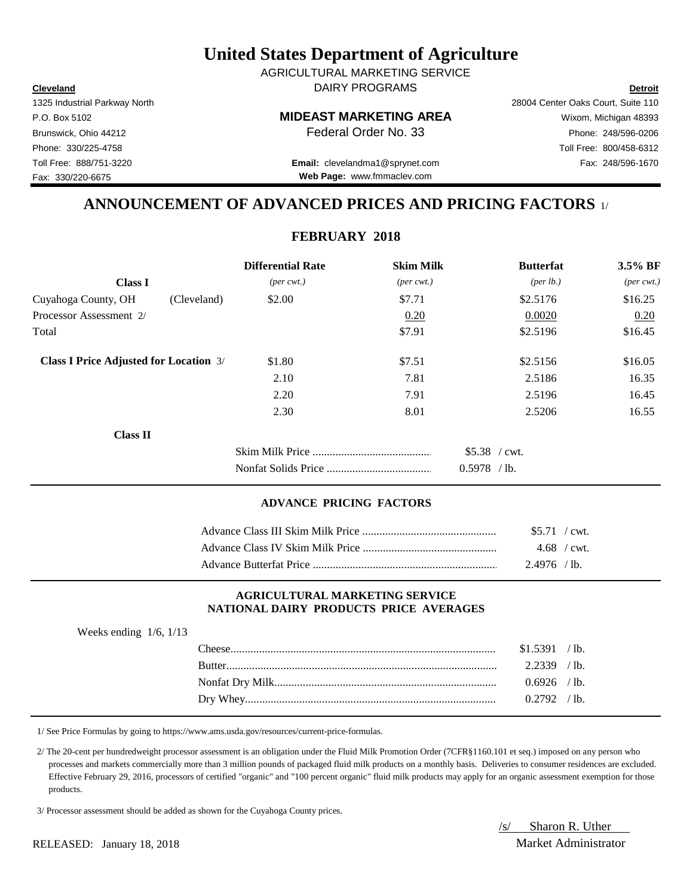**Cleveland Detroit** AGRICULTURAL MARKETING SERVICE DAIRY PROGRAMS

1325 Industrial Parkway North 28004 Center Oaks Court, Suite 110

P.O. Box 5102 **MIDEAST MARKETING AREA** Wixom, Michigan 48393 Brunswick, Ohio 44212 **Phone:** 248/596-0206 **Federal Order No. 33** Phone: 248/596-0206 Phone: 330/225-4758 Toll Free: 800/458-6312 Toll Free: 888/751-3220 Fax: 248/596-1670 **Email:** clevelandma1@sprynet.com

**Web Page:** www.fmmaclev.com

# **ANNOUNCEMENT OF ADVANCED PRICES AND PRICING FACTORS** 1/

# **FEBRUARY 2018**

|                                               | <b>Differential Rate</b>    | <b>Skim Milk</b>            | <b>Butterfat</b>     | 3.5% BF                     |
|-----------------------------------------------|-----------------------------|-----------------------------|----------------------|-----------------------------|
| <b>Class I</b>                                | $(\text{per} \text{ cwt.})$ | $(\text{per} \text{ cwt.})$ | ${\rm (per \, lb.)}$ | $(\text{per} \text{ cwt.})$ |
| Cuyahoga County, OH<br>(Cleveland)            | \$2.00                      | \$7.71                      | \$2.5176             | \$16.25                     |
| Processor Assessment 2/                       |                             | 0.20                        | 0.0020               | 0.20                        |
| Total                                         |                             | \$7.91                      | \$2.5196             | \$16.45                     |
| <b>Class I Price Adjusted for Location 3/</b> | \$1.80                      | \$7.51                      | \$2.5156             | \$16.05                     |
|                                               | 2.10                        | 7.81                        | 2.5186               | 16.35                       |
|                                               | 2.20                        | 7.91                        | 2.5196               | 16.45                       |
|                                               | 2.30                        | 8.01                        | 2.5206               | 16.55                       |
| <b>Class II</b>                               |                             |                             |                      |                             |
|                                               |                             |                             | \$5.38 / cwt.        |                             |
|                                               |                             |                             | $0.5978$ /lb.        |                             |

### **ADVANCE PRICING FACTORS**

| \$5.71 / cwt.  |  |
|----------------|--|
| $4.68$ / cwt.  |  |
| $2.4976$ / lb. |  |

### **AGRICULTURAL MARKETING SERVICE NATIONAL DAIRY PRODUCTS PRICE AVERAGES**

| Weeks ending $1/6$ , $1/13$ |                |  |
|-----------------------------|----------------|--|
|                             | \$1.5391 / lb. |  |
|                             | $2.2339$ /lb.  |  |
|                             | $0.6926$ /lb.  |  |
|                             | $0.2792$ /lb.  |  |

1/ See Price Formulas by going to https://www.ams.usda.gov/resources/current-price-formulas.

 2/ The 20-cent per hundredweight processor assessment is an obligation under the Fluid Milk Promotion Order (7CFR§1160.101 et seq.) imposed on any person who processes and markets commercially more than 3 million pounds of packaged fluid milk products on a monthly basis. Deliveries to consumer residences are excluded. Effective February 29, 2016, processors of certified "organic" and "100 percent organic" fluid milk products may apply for an organic assessment exemption for those products.

3/ Processor assessment should be added as shown for the Cuyahoga County prices.

/s/ Sharon R. Uther

RELEASED: January 18, 2018 Market Administrator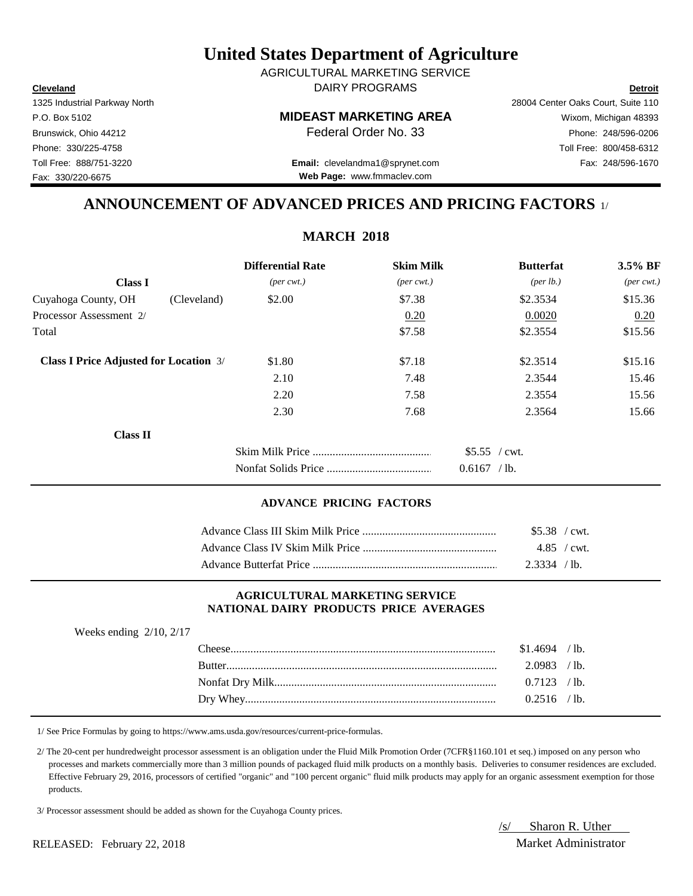**Cleveland Detroit** AGRICULTURAL MARKETING SERVICE DAIRY PROGRAMS

1325 Industrial Parkway North 28004 Center Oaks Court, Suite 110

# P.O. Box 5102 **MIDEAST MARKETING AREA** Wixom, Michigan 48393

Brunswick, Ohio 44212 **Phone:** 248/596-0206 **Federal Order No. 33** Phone: 248/596-0206 Phone: 330/225-4758 Toll Free: 800/458-6312

Toll Free: 888/751-3220 Fax: 248/596-1670 **Email:** clevelandma1@sprynet.com **Web Page:** www.fmmaclev.com

# **ANNOUNCEMENT OF ADVANCED PRICES AND PRICING FACTORS** 1/

# **MARCH 2018**

|                                               |             | <b>Differential Rate</b>    | <b>Skim Milk</b>            | <b>Butterfat</b>     | 3.5% BF                     |
|-----------------------------------------------|-------------|-----------------------------|-----------------------------|----------------------|-----------------------------|
| <b>Class I</b>                                |             | $(\text{per} \text{ cwt.})$ | $(\text{per} \text{ cwt.})$ | ${\rm (per \, lb.)}$ | $(\text{per} \text{ cwt.})$ |
| Cuyahoga County, OH                           | (Cleveland) | \$2.00                      | \$7.38                      | \$2.3534             | \$15.36                     |
| Processor Assessment 2/                       |             |                             | 0.20                        | 0.0020               | 0.20                        |
| Total                                         |             |                             | \$7.58                      | \$2.3554             | \$15.56                     |
| <b>Class I Price Adjusted for Location 3/</b> |             | \$1.80                      | \$7.18                      | \$2.3514             | \$15.16                     |
|                                               |             | 2.10                        | 7.48                        | 2.3544               | 15.46                       |
|                                               |             | 2.20                        | 7.58                        | 2.3554               | 15.56                       |
|                                               |             | 2.30                        | 7.68                        | 2.3564               | 15.66                       |
| <b>Class II</b>                               |             |                             |                             |                      |                             |
|                                               |             |                             |                             | \$5.55 / cwt.        |                             |
|                                               |             |                             |                             | $0.6167$ /lb.        |                             |

### **ADVANCE PRICING FACTORS**

| \$5.38 / cwt.  |              |
|----------------|--------------|
|                | 4.85 / $cwt$ |
| $2.3334$ / lb. |              |

### **AGRICULTURAL MARKETING SERVICE NATIONAL DAIRY PRODUCTS PRICE AVERAGES**

| Weeks ending $2/10$ , $2/17$ |                |  |
|------------------------------|----------------|--|
|                              | $$1.4694$ /lb. |  |
|                              | $2.0983$ /lb.  |  |
|                              | $0.7123$ /lb.  |  |
|                              | $0.2516$ /lb.  |  |

1/ See Price Formulas by going to https://www.ams.usda.gov/resources/current-price-formulas.

 2/ The 20-cent per hundredweight processor assessment is an obligation under the Fluid Milk Promotion Order (7CFR§1160.101 et seq.) imposed on any person who processes and markets commercially more than 3 million pounds of packaged fluid milk products on a monthly basis. Deliveries to consumer residences are excluded. Effective February 29, 2016, processors of certified "organic" and "100 percent organic" fluid milk products may apply for an organic assessment exemption for those products.

3/ Processor assessment should be added as shown for the Cuyahoga County prices.

/s/ Sharon R. Uther

RELEASED: February 22, 2018 Market Administrator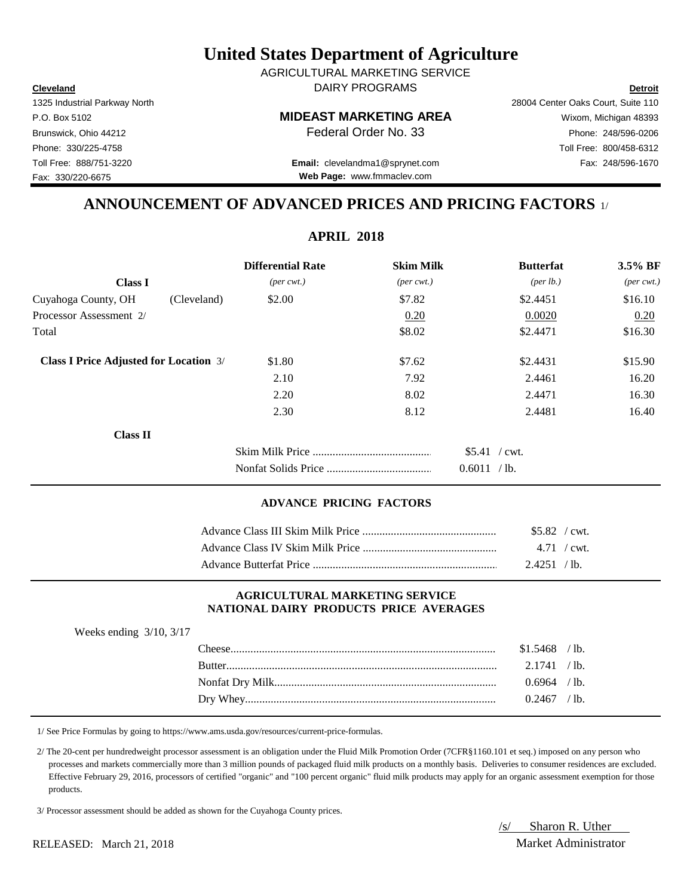**Cleveland Detroit** AGRICULTURAL MARKETING SERVICE DAIRY PROGRAMS

1325 Industrial Parkway North 28004 Center Oaks Court, Suite 110

Toll Free: 888/751-3220 Fax: 248/596-1670 **Email:** clevelandma1@sprynet.com **Web Page:** www.fmmaclev.com

# **ANNOUNCEMENT OF ADVANCED PRICES AND PRICING FACTORS** 1/

**APRIL 2018**

|                                               | <b>Differential Rate</b>    | <b>Skim Milk</b>            | <b>Butterfat</b>     | 3.5% BF                     |
|-----------------------------------------------|-----------------------------|-----------------------------|----------------------|-----------------------------|
| <b>Class I</b>                                | $(\text{per} \text{ cwt.})$ | $(\text{per} \text{ cwt.})$ | ${\rm (per \, lb.)}$ | $(\text{per} \text{ cwt.})$ |
| Cuyahoga County, OH<br>(Cleveland)            | \$2.00                      | \$7.82                      | \$2.4451             | \$16.10                     |
| Processor Assessment 2/                       |                             | 0.20                        | 0.0020               | 0.20                        |
| Total                                         |                             | \$8.02                      | \$2.4471             | \$16.30                     |
| <b>Class I Price Adjusted for Location 3/</b> | \$1.80                      | \$7.62                      | \$2.4431             | \$15.90                     |
|                                               | 2.10                        | 7.92                        | 2.4461               | 16.20                       |
|                                               | 2.20                        | 8.02                        | 2.4471               | 16.30                       |
|                                               | 2.30                        | 8.12                        | 2.4481               | 16.40                       |
| <b>Class II</b>                               |                             |                             |                      |                             |
|                                               |                             |                             | $$5.41$ / cwt.       |                             |
|                                               |                             |                             | 0.6011 / lb.         |                             |

#### **ADVANCE PRICING FACTORS**

| $$5.82$ / cwt. |  |
|----------------|--|
|                |  |
| $2.4251$ /lb.  |  |

#### **AGRICULTURAL MARKETING SERVICE NATIONAL DAIRY PRODUCTS PRICE AVERAGES**

| Weeks ending $3/10$ , $3/17$ |                |  |
|------------------------------|----------------|--|
|                              | $$1.5468$ /lb. |  |
|                              | 2.1741 / h     |  |
|                              | $0.6964$ /lb.  |  |
|                              | $0.2467$ /lb.  |  |

1/ See Price Formulas by going to https://www.ams.usda.gov/resources/current-price-formulas.

 2/ The 20-cent per hundredweight processor assessment is an obligation under the Fluid Milk Promotion Order (7CFR§1160.101 et seq.) imposed on any person who processes and markets commercially more than 3 million pounds of packaged fluid milk products on a monthly basis. Deliveries to consumer residences are excluded. Effective February 29, 2016, processors of certified "organic" and "100 percent organic" fluid milk products may apply for an organic assessment exemption for those products.

3/ Processor assessment should be added as shown for the Cuyahoga County prices.

/s/ Sharon R. Uther

Fax: 330/220-6675

P.O. Box 5102 **MIDEAST MARKETING AREA** Wixom, Michigan 48393 Brunswick, Ohio 44212 **Phone:** 248/596-0206 **Federal Order No. 33** Phone: 248/596-0206 Phone: 330/225-4758 Toll Free: 800/458-6312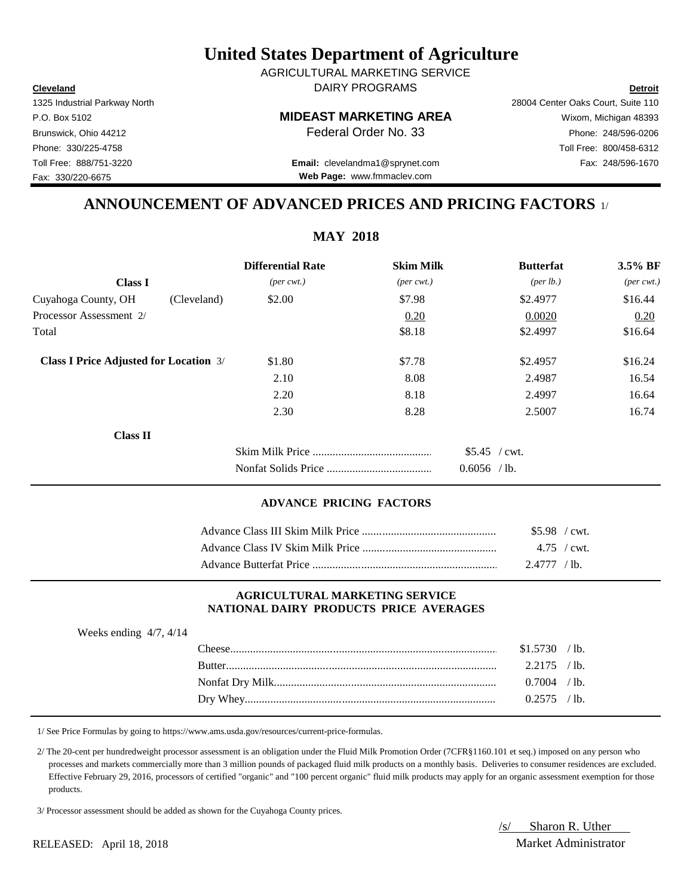**Cleveland Detroit** DAIRY PROGRAMS AGRICULTURAL MARKETING SERVICE

P.O. Box 5102 **MIDEAST MARKETING AREA** Wixom, Michigan 48393

**Web Page:** www.fmmaclev.com

# **ANNOUNCEMENT OF ADVANCED PRICES AND PRICING FACTORS** 1/

**MAY 2018**

|                                               | <b>Differential Rate</b>    | <b>Skim Milk</b>            | <b>Butterfat</b>   | 3.5% BF                     |
|-----------------------------------------------|-----------------------------|-----------------------------|--------------------|-----------------------------|
| <b>Class I</b>                                | $(\text{per} \text{ cwt.})$ | $(\text{per} \text{ cwt.})$ | $(\text{per lb.})$ | $(\text{per} \text{ cwt.})$ |
| Cuyahoga County, OH<br>(Cleveland)            | \$2.00                      | \$7.98                      | \$2.4977           | \$16.44                     |
| Processor Assessment 2/                       |                             | 0.20                        | 0.0020             | 0.20                        |
| Total                                         |                             | \$8.18                      | \$2.4997           | \$16.64                     |
| <b>Class I Price Adjusted for Location 3/</b> | \$1.80                      | \$7.78                      | \$2.4957           | \$16.24                     |
|                                               | 2.10                        | 8.08                        | 2.4987             | 16.54                       |
|                                               | 2.20                        | 8.18                        | 2.4997             | 16.64                       |
|                                               | 2.30                        | 8.28                        | 2.5007             | 16.74                       |
| <b>Class II</b>                               |                             |                             |                    |                             |
|                                               |                             |                             | $$5.45$ / cwt.     |                             |
|                                               |                             |                             | $0.6056$ /lb.      |                             |

## **ADVANCE PRICING FACTORS**

| $$5.98$ / cwt. |  |
|----------------|--|
|                |  |
| 2.4777 / lb.   |  |

#### **AGRICULTURAL MARKETING SERVICE NATIONAL DAIRY PRODUCTS PRICE AVERAGES**

| Weeks ending $4/7$ , $4/14$ |               |                |                 |
|-----------------------------|---------------|----------------|-----------------|
|                             |               | \$1.5730       | $/1b$ .         |
|                             | <b>Butter</b> | 2.2175         | $/1b$ .         |
|                             |               | $0.7004$ / lb. |                 |
|                             |               |                | $^{\prime}$ 1b. |

1/ See Price Formulas by going to https://www.ams.usda.gov/resources/current-price-formulas.

 2/ The 20-cent per hundredweight processor assessment is an obligation under the Fluid Milk Promotion Order (7CFR§1160.101 et seq.) imposed on any person who processes and markets commercially more than 3 million pounds of packaged fluid milk products on a monthly basis. Deliveries to consumer residences are excluded. Effective February 29, 2016, processors of certified "organic" and "100 percent organic" fluid milk products may apply for an organic assessment exemption for those products.

3/ Processor assessment should be added as shown for the Cuyahoga County prices.

/s/ Sharon R. Uther

RELEASED: April 18, 2018 Market Administrator

1325 Industrial Parkway North 28004 Center Oaks Court, Suite 110

Fax: 330/220-6675

Brunswick, Ohio 44212 **Phone: 248/596-0206 Federal Order No. 33** Phone: 248/596-0206 Phone: 330/225-4758 Toll Free: 800/458-6312 Toll Free: 888/751-3220 Fax: 248/596-1670 **Email:** clevelandma1@sprynet.com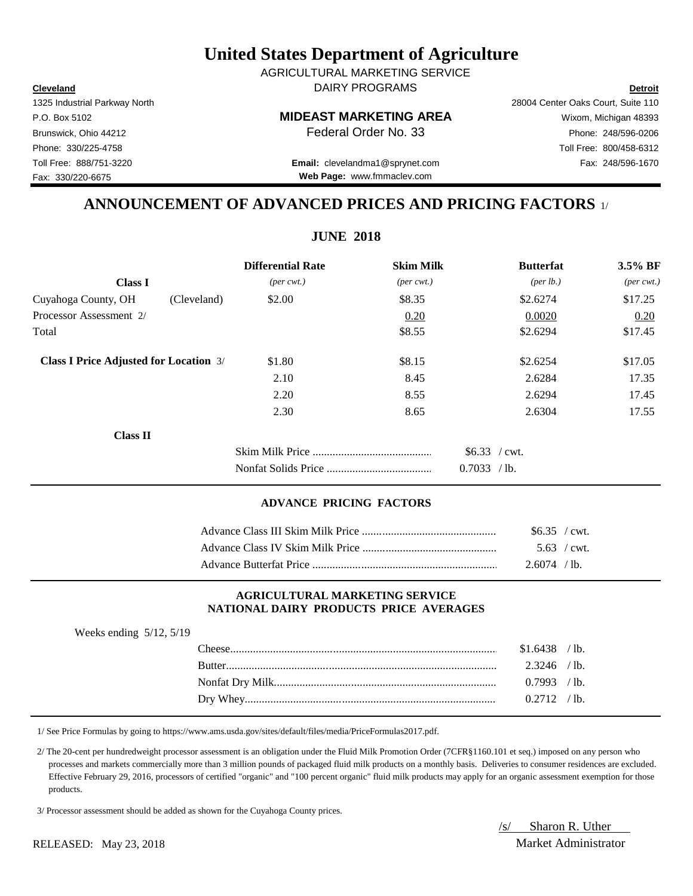**Cleveland Detroit** DAIRY PROGRAMS AGRICULTURAL MARKETING SERVICE

P.O. Box 5102 **MIDEAST MARKETING AREA** Wixom, Michigan 48393

Toll Free: 888/751-3220 Fax: 248/596-1670 **Email:** clevelandma1@sprynet.com **Web Page:** www.fmmaclev.com

# **ANNOUNCEMENT OF ADVANCED PRICES AND PRICING FACTORS** 1/

**JUNE 2018**

|                                               | <b>Differential Rate</b>    | <b>Skim Milk</b>            | <b>Butterfat</b>   | $3.5\%$ BF                  |
|-----------------------------------------------|-----------------------------|-----------------------------|--------------------|-----------------------------|
| <b>Class I</b>                                | $(\text{per} \text{ cwt.})$ | $(\text{per} \text{ cwt.})$ | $(\text{per lb.})$ | $(\text{per} \text{ cwt.})$ |
| Cuyahoga County, OH<br>(Cleveland)            | \$2.00                      | \$8.35                      | \$2.6274           | \$17.25                     |
| Processor Assessment 2/                       |                             | 0.20                        | 0.0020             | 0.20                        |
| Total                                         |                             | \$8.55                      | \$2.6294           | \$17.45                     |
| <b>Class I Price Adjusted for Location 3/</b> | \$1.80                      | \$8.15                      | \$2.6254           | \$17.05                     |
|                                               | 2.10                        | 8.45                        | 2.6284             | 17.35                       |
|                                               | 2.20                        | 8.55                        | 2.6294             | 17.45                       |
|                                               | 2.30                        | 8.65                        | 2.6304             | 17.55                       |
| <b>Class II</b>                               |                             |                             |                    |                             |
|                                               |                             |                             | $$6.33$ / cwt.     |                             |
|                                               |                             |                             | 0.7033 / lb.       |                             |

## **ADVANCE PRICING FACTORS**

| \$6.35 / cwt.  |
|----------------|
| $5.63$ / cwt.  |
| $2.6074$ / lb. |

#### **AGRICULTURAL MARKETING SERVICE NATIONAL DAIRY PRODUCTS PRICE AVERAGES**

| Weeks ending $5/12$ , $5/19$ |        |                |                 |
|------------------------------|--------|----------------|-----------------|
|                              |        | $$1.6438$ /lb. |                 |
|                              | Butter | $2.3246$ /lb.  |                 |
|                              |        | 0.7993         | /1 <sub>b</sub> |
|                              |        | 0.2712         | $^{\prime}$ 1b. |

1/ See Price Formulas by going to https://www.ams.usda.gov/sites/default/files/media/PriceFormulas2017.pdf.

 2/ The 20-cent per hundredweight processor assessment is an obligation under the Fluid Milk Promotion Order (7CFR§1160.101 et seq.) imposed on any person who processes and markets commercially more than 3 million pounds of packaged fluid milk products on a monthly basis. Deliveries to consumer residences are excluded. Effective February 29, 2016, processors of certified "organic" and "100 percent organic" fluid milk products may apply for an organic assessment exemption for those products.

3/ Processor assessment should be added as shown for the Cuyahoga County prices.

/s/ Sharon R. Uther

1325 Industrial Parkway North 28004 Center Oaks Court, Suite 110 Phone: 330/225-4758 Toll Free: 800/458-6312

Fax: 330/220-6675

RELEASED: May 23, 2018 Market Administrator

Brunswick, Ohio 44212 **Phone: 248/596-0206 Federal Order No. 33** Phone: 248/596-0206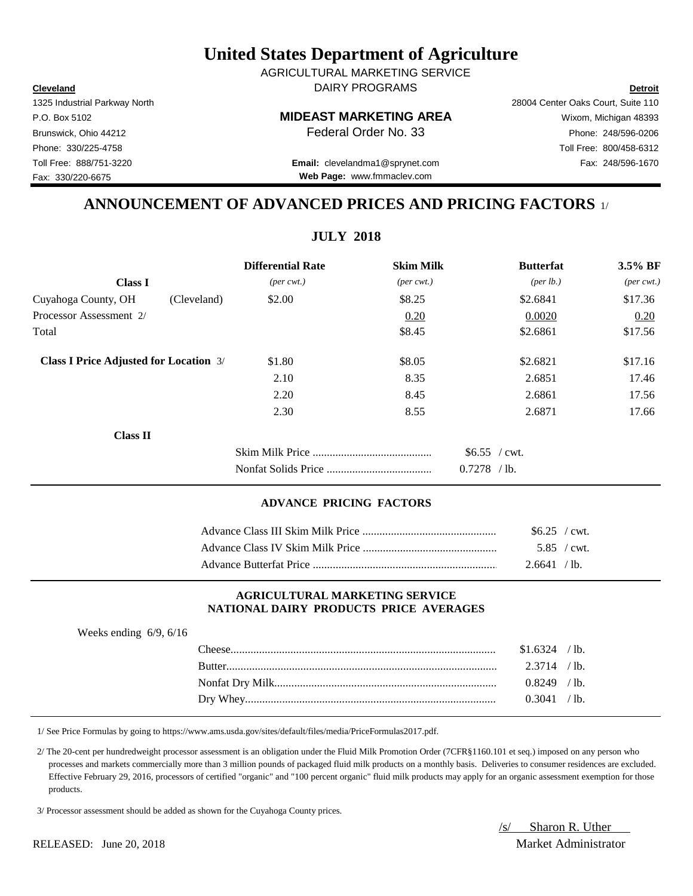**Cleveland Detroit** DAIRY PROGRAMS AGRICULTURAL MARKETING SERVICE

P.O. Box 5102 **MIDEAST MARKETING AREA** Wixom, Michigan 48393

Brunswick, Ohio 44212 **Phone:** 248/596-0206 **Federal Order No. 33** Phone: 248/596-0206

Toll Free: 888/751-3220 Fax: 248/596-1670 **Email:** clevelandma1@sprynet.com **Web Page:** www.fmmaclev.com

# **ANNOUNCEMENT OF ADVANCED PRICES AND PRICING FACTORS** 1/

**JULY 2018**

|                                               | <b>Differential Rate</b>    | <b>Skim Milk</b>            | <b>Butterfat</b>     | $3.5\%$ BF                  |
|-----------------------------------------------|-----------------------------|-----------------------------|----------------------|-----------------------------|
| <b>Class I</b>                                | $(\text{per} \text{ cwt.})$ | $(\text{per} \text{ cwt.})$ | ${\rm (per \, lb.)}$ | $(\text{per} \text{ cwt.})$ |
| Cuyahoga County, OH<br>(Cleveland)            | \$2.00                      | \$8.25                      | \$2.6841             | \$17.36                     |
| Processor Assessment 2/                       |                             | 0.20                        | 0.0020               | 0.20                        |
| Total                                         |                             | \$8.45                      | \$2.6861             | \$17.56                     |
| <b>Class I Price Adjusted for Location 3/</b> | \$1.80                      | \$8.05                      | \$2.6821             | \$17.16                     |
|                                               | 2.10                        | 8.35                        | 2.6851               | 17.46                       |
|                                               | 2.20                        | 8.45                        | 2.6861               | 17.56                       |
|                                               | 2.30                        | 8.55                        | 2.6871               | 17.66                       |
| <b>Class II</b>                               |                             |                             |                      |                             |
|                                               |                             |                             | \$6.55 / cwt.        |                             |
|                                               |                             |                             | $0.7278$ /lb.        |                             |

## **ADVANCE PRICING FACTORS**

| $$6.25$ / cwt. |
|----------------|
| 5.85 / cwt.    |
| 2.6641 / lb.   |

#### **AGRICULTURAL MARKETING SERVICE NATIONAL DAIRY PRODUCTS PRICE AVERAGES**

| Weeks ending $6/9$ , $6/16$ |               |          |              |
|-----------------------------|---------------|----------|--------------|
|                             | l 'heese'     | \$1.6324 | $\prime$ lb. |
|                             | <b>Butter</b> | 2.3714   | $\ell$ 1b.   |
|                             |               | 0.8249   | $/1b$ .      |
|                             |               | ) 3041   | $\prime$ lb. |

1/ See Price Formulas by going to https://www.ams.usda.gov/sites/default/files/media/PriceFormulas2017.pdf.

 2/ The 20-cent per hundredweight processor assessment is an obligation under the Fluid Milk Promotion Order (7CFR§1160.101 et seq.) imposed on any person who processes and markets commercially more than 3 million pounds of packaged fluid milk products on a monthly basis. Deliveries to consumer residences are excluded. Effective February 29, 2016, processors of certified "organic" and "100 percent organic" fluid milk products may apply for an organic assessment exemption for those products.

3/ Processor assessment should be added as shown for the Cuyahoga County prices.

/s/ Sharon R. Uther

RELEASED: June 20, 2018 Market Administrator

1325 Industrial Parkway North 28004 Center Oaks Court, Suite 110 Phone: 330/225-4758 Toll Free: 800/458-6312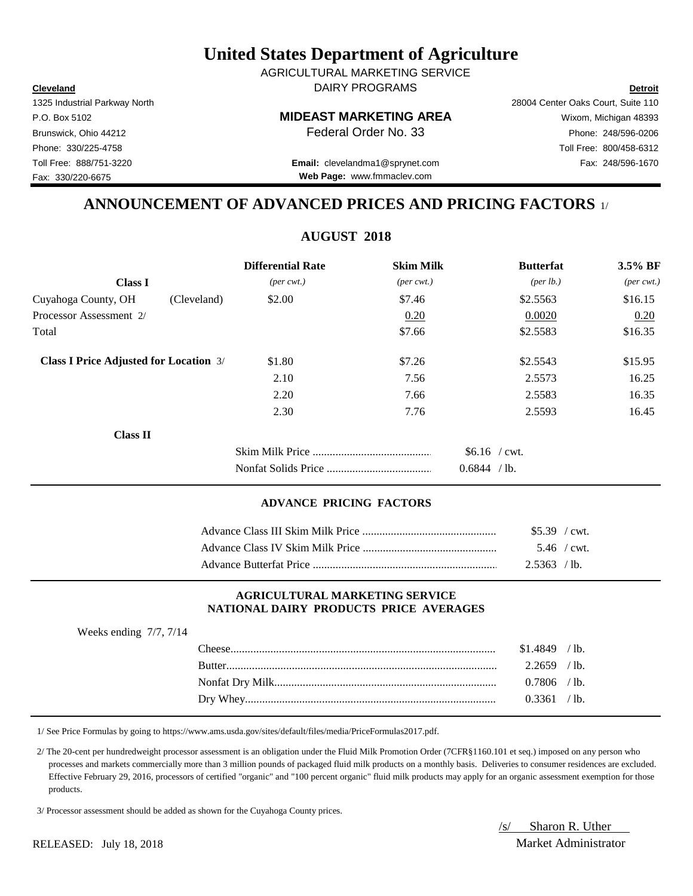**Cleveland Detroit** AGRICULTURAL MARKETING SERVICE DAIRY PROGRAMS

Fax: 330/220-6675

# P.O. Box 5102 **MIDEAST MARKETING AREA** Wixom, Michigan 48393

Toll Free: 888/751-3220 Fax: 248/596-1670 **Email:** clevelandma1@sprynet.com **Web Page:** www.fmmaclev.com

# **ANNOUNCEMENT OF ADVANCED PRICES AND PRICING FACTORS** 1/

# **AUGUST 2018**

|                                               |             | <b>Differential Rate</b>    | <b>Skim Milk</b>            | <b>Butterfat</b>     | 3.5% BF                     |
|-----------------------------------------------|-------------|-----------------------------|-----------------------------|----------------------|-----------------------------|
| <b>Class I</b>                                |             | $(\text{per} \text{ cwt.})$ | $(\text{per} \text{ cwt.})$ | ${\rm (per \, lb.)}$ | $(\text{per} \text{ cwt.})$ |
| Cuyahoga County, OH                           | (Cleveland) | \$2.00                      | \$7.46                      | \$2.5563             | \$16.15                     |
| Processor Assessment 2/                       |             |                             | 0.20                        | 0.0020               | 0.20                        |
| Total                                         |             |                             | \$7.66                      | \$2.5583             | \$16.35                     |
| <b>Class I Price Adjusted for Location 3/</b> |             | \$1.80                      | \$7.26                      | \$2.5543             | \$15.95                     |
|                                               |             | 2.10                        | 7.56                        | 2.5573               | 16.25                       |
|                                               |             | 2.20                        | 7.66                        | 2.5583               | 16.35                       |
|                                               |             | 2.30                        | 7.76                        | 2.5593               | 16.45                       |
| <b>Class II</b>                               |             |                             |                             |                      |                             |
|                                               |             |                             |                             | $$6.16$ / cwt.       |                             |
|                                               |             |                             |                             | 0.6844 / lb.         |                             |

#### **ADVANCE PRICING FACTORS**

| $$5.39$ / cwt. |  |
|----------------|--|
| 5.46 / cwt.    |  |
| $2.5363$ /lb.  |  |

#### **AGRICULTURAL MARKETING SERVICE NATIONAL DAIRY PRODUCTS PRICE AVERAGES**

| Weeks ending $7/7$ , $7/14$ |                |  |
|-----------------------------|----------------|--|
|                             | $$1.4849$ /lb. |  |
|                             | $2.2659$ /lb.  |  |
|                             | $0.7806$ /lb.  |  |
|                             | 0.3361 / lb.   |  |

1/ See Price Formulas by going to https://www.ams.usda.gov/sites/default/files/media/PriceFormulas2017.pdf.

 2/ The 20-cent per hundredweight processor assessment is an obligation under the Fluid Milk Promotion Order (7CFR§1160.101 et seq.) imposed on any person who processes and markets commercially more than 3 million pounds of packaged fluid milk products on a monthly basis. Deliveries to consumer residences are excluded. Effective February 29, 2016, processors of certified "organic" and "100 percent organic" fluid milk products may apply for an organic assessment exemption for those products.

3/ Processor assessment should be added as shown for the Cuyahoga County prices.

/s/ Sharon R. Uther

RELEASED: July 18, 2018 Market Administrator

1325 Industrial Parkway North 28004 Center Oaks Court, Suite 110 Brunswick, Ohio 44212 **Phone:** 248/596-0206 **Federal Order No. 33** Phone: 248/596-0206 Phone: 330/225-4758 Toll Free: 800/458-6312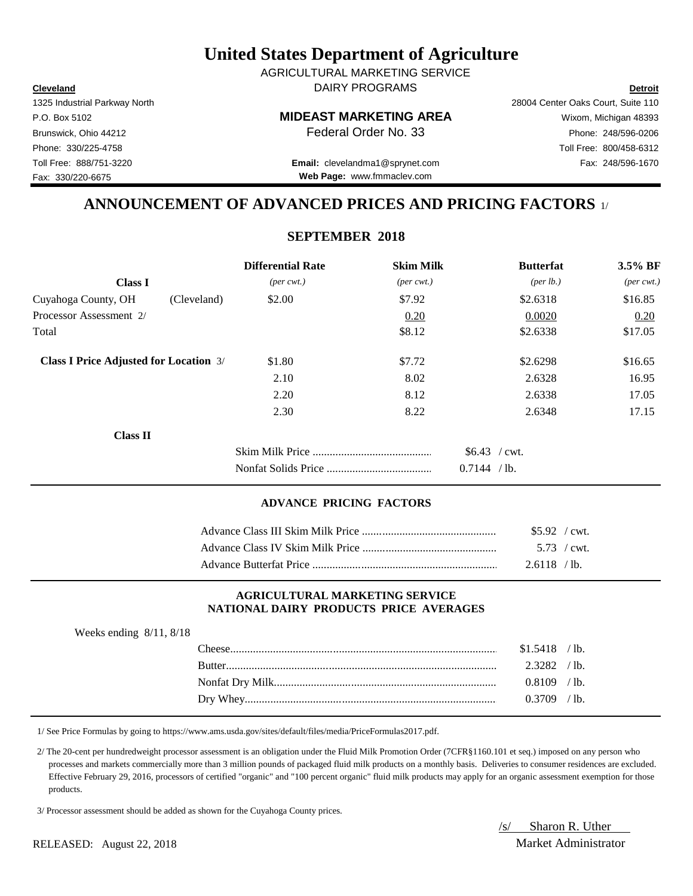**Cleveland Detroit** DAIRY PROGRAMS AGRICULTURAL MARKETING SERVICE

## P.O. Box 5102 **MIDEAST MARKETING AREA** Wixom, Michigan 48393

Toll Free: 888/751-3220 Fax: 248/596-1670 **Email:** clevelandma1@sprynet.com **Web Page:** www.fmmaclev.com

# **ANNOUNCEMENT OF ADVANCED PRICES AND PRICING FACTORS** 1/

## **SEPTEMBER 2018**

|                                               |             | <b>Differential Rate</b>    | <b>Skim Milk</b>            | <b>Butterfat</b>   | $3.5\%$ BF                  |
|-----------------------------------------------|-------------|-----------------------------|-----------------------------|--------------------|-----------------------------|
| <b>Class I</b>                                |             | $(\text{per} \text{ cwt.})$ | $(\text{per} \text{ cwt.})$ | $(\text{per lb.})$ | $(\text{per} \text{ cwt.})$ |
| Cuyahoga County, OH                           | (Cleveland) | \$2.00                      | \$7.92                      | \$2.6318           | \$16.85                     |
| Processor Assessment 2/                       |             |                             | 0.20                        | 0.0020             | 0.20                        |
| Total                                         |             |                             | \$8.12                      | \$2.6338           | \$17.05                     |
| <b>Class I Price Adjusted for Location 3/</b> |             | \$1.80                      | \$7.72                      | \$2.6298           | \$16.65                     |
|                                               |             | 2.10                        | 8.02                        | 2.6328             | 16.95                       |
|                                               |             | 2.20                        | 8.12                        | 2.6338             | 17.05                       |
|                                               |             | 2.30                        | 8.22                        | 2.6348             | 17.15                       |
| <b>Class II</b>                               |             |                             |                             |                    |                             |
|                                               |             |                             |                             | $$6.43$ / cwt.     |                             |
|                                               |             |                             |                             | 0.7144 / lb.       |                             |

## **ADVANCE PRICING FACTORS**

| $$5.92$ / cwt. |  |
|----------------|--|
| 5.73 / cwt.    |  |
| $2.6118$ /lb.  |  |

#### **AGRICULTURAL MARKETING SERVICE NATIONAL DAIRY PRODUCTS PRICE AVERAGES**

| Weeks ending $8/11$ , $8/18$ |        |                |                 |
|------------------------------|--------|----------------|-----------------|
|                              |        | $$1.5418$ /lb. |                 |
|                              | Butter | 2.3282         | $^{\prime}$ lb. |
|                              |        | 0.8109         | $/1b$ .         |
|                              |        | 3709           | $^{\prime}$ 1b. |

1/ See Price Formulas by going to https://www.ams.usda.gov/sites/default/files/media/PriceFormulas2017.pdf.

 2/ The 20-cent per hundredweight processor assessment is an obligation under the Fluid Milk Promotion Order (7CFR§1160.101 et seq.) imposed on any person who processes and markets commercially more than 3 million pounds of packaged fluid milk products on a monthly basis. Deliveries to consumer residences are excluded. Effective February 29, 2016, processors of certified "organic" and "100 percent organic" fluid milk products may apply for an organic assessment exemption for those products.

3/ Processor assessment should be added as shown for the Cuyahoga County prices.

/s/ Sharon R. Uther

1325 Industrial Parkway North 28004 Center Oaks Court, Suite 110

RELEASED: August 22, 2018 Market Administrator

Brunswick, Ohio 44212 **Phone: 248/596-0206 Federal Order No. 33** Phone: 248/596-0206 Phone: 330/225-4758 Toll Free: 800/458-6312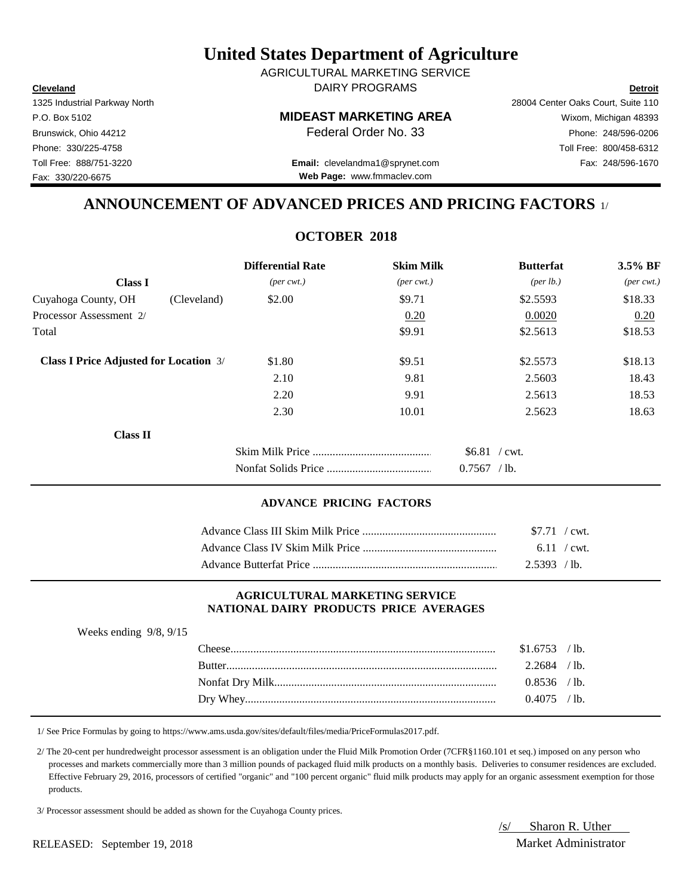**Cleveland Detroit** AGRICULTURAL MARKETING SERVICE DAIRY PROGRAMS

1325 Industrial Parkway North 28004 Center Oaks Court, Suite 110

Toll Free: 888/751-3220 Fax: 248/596-1670 **Email:** clevelandma1@sprynet.com **Web Page:** www.fmmaclev.com

# **ANNOUNCEMENT OF ADVANCED PRICES AND PRICING FACTORS** 1/

## **OCTOBER 2018**

|                                               |             | <b>Differential Rate</b>    | <b>Skim Milk</b>            | <b>Butterfat</b>     | $3.5\%$ BF                  |
|-----------------------------------------------|-------------|-----------------------------|-----------------------------|----------------------|-----------------------------|
| <b>Class I</b>                                |             | $(\text{per} \text{ cwt.})$ | $(\text{per} \text{ cwt.})$ | ${\rm (per \, lb.)}$ | $(\text{per} \text{ cwt.})$ |
| Cuyahoga County, OH                           | (Cleveland) | \$2.00                      | \$9.71                      | \$2.5593             | \$18.33                     |
| Processor Assessment 2/                       |             |                             | 0.20                        | 0.0020               | 0.20                        |
| Total                                         |             |                             | \$9.91                      | \$2.5613             | \$18.53                     |
| <b>Class I Price Adjusted for Location 3/</b> |             | \$1.80                      | \$9.51                      | \$2.5573             | \$18.13                     |
|                                               |             | 2.10                        | 9.81                        | 2.5603               | 18.43                       |
|                                               |             | 2.20                        | 9.91                        | 2.5613               | 18.53                       |
|                                               |             | 2.30                        | 10.01                       | 2.5623               | 18.63                       |
| <b>Class II</b>                               |             |                             |                             |                      |                             |
|                                               |             |                             |                             | $$6.81$ / cwt.       |                             |
|                                               |             |                             |                             | $0.7567$ /lb.        |                             |

#### **ADVANCE PRICING FACTORS**

| \$7.71 / cwt. |  |
|---------------|--|
|               |  |
| 2.5393 / lb.  |  |

#### **AGRICULTURAL MARKETING SERVICE NATIONAL DAIRY PRODUCTS PRICE AVERAGES**

| Weeks ending $9/8$ , $9/15$ |                |  |
|-----------------------------|----------------|--|
|                             | $$1.6753$ /lb. |  |
|                             | $2.2684$ /lb.  |  |
|                             | $0.8536$ /lb.  |  |
|                             | $0.4075$ /lb.  |  |

1/ See Price Formulas by going to https://www.ams.usda.gov/sites/default/files/media/PriceFormulas2017.pdf.

 2/ The 20-cent per hundredweight processor assessment is an obligation under the Fluid Milk Promotion Order (7CFR§1160.101 et seq.) imposed on any person who processes and markets commercially more than 3 million pounds of packaged fluid milk products on a monthly basis. Deliveries to consumer residences are excluded. Effective February 29, 2016, processors of certified "organic" and "100 percent organic" fluid milk products may apply for an organic assessment exemption for those products.

3/ Processor assessment should be added as shown for the Cuyahoga County prices.

/s/ Sharon R. Uther

P.O. Box 5102 **MIDEAST MARKETING AREA** Wixom, Michigan 48393 Brunswick, Ohio 44212 **Phone:** 248/596-0206 **Federal Order No. 33** Phone: 248/596-0206 Phone: 330/225-4758 Toll Free: 800/458-6312

Fax: 330/220-6675

RELEASED: September 19, 2018 Market Administrator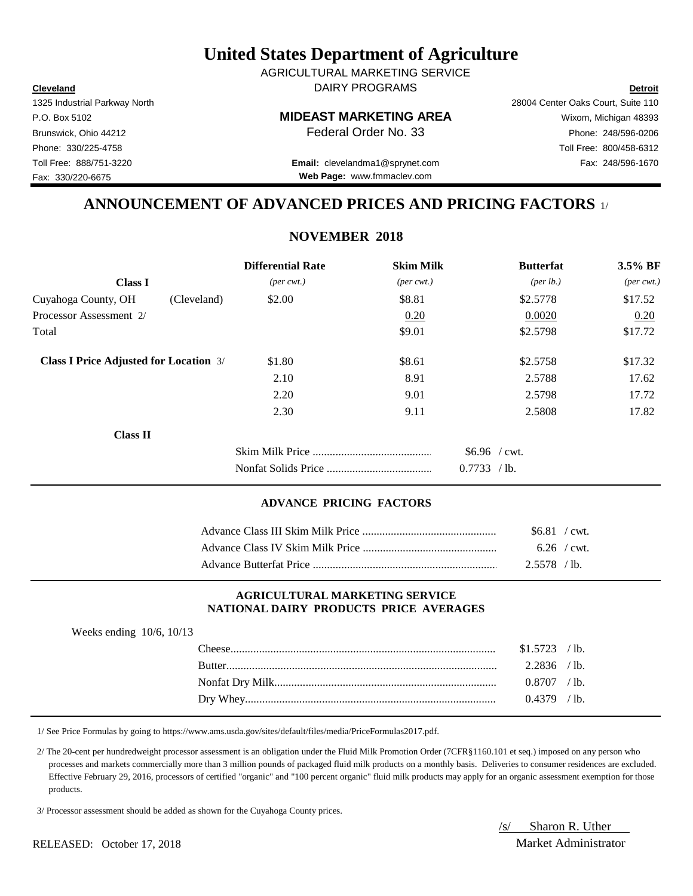**Cleveland Detroit** AGRICULTURAL MARKETING SERVICE DAIRY PROGRAMS

1325 Industrial Parkway North 28004 Center Oaks Court, Suite 110

P.O. Box 5102 **MIDEAST MARKETING AREA** Wixom, Michigan 48393 Brunswick, Ohio 44212 **Phone:** 248/596-0206 **Federal Order No. 33** Phone: 248/596-0206 Phone: 330/225-4758 Toll Free: 800/458-6312 Toll Free: 888/751-3220 Fax: 248/596-1670 **Email:** clevelandma1@sprynet.com

**Web Page:** www.fmmaclev.com

# **ANNOUNCEMENT OF ADVANCED PRICES AND PRICING FACTORS** 1/

# **NOVEMBER 2018**

|                                               |             | <b>Differential Rate</b>    | <b>Skim Milk</b>            | <b>Butterfat</b>     | 3.5% BF                     |
|-----------------------------------------------|-------------|-----------------------------|-----------------------------|----------------------|-----------------------------|
| <b>Class I</b>                                |             | $(\text{per} \text{ cwt.})$ | $(\text{per} \text{ cwt.})$ | ${\rm (per \, lb.)}$ | $(\text{per} \text{ cwt.})$ |
| Cuyahoga County, OH                           | (Cleveland) | \$2.00                      | \$8.81                      | \$2.5778             | \$17.52                     |
| Processor Assessment 2/                       |             |                             | 0.20                        | 0.0020               | 0.20                        |
| Total                                         |             |                             | \$9.01                      | \$2.5798             | \$17.72                     |
| <b>Class I Price Adjusted for Location 3/</b> |             | \$1.80                      | \$8.61                      | \$2.5758             | \$17.32                     |
|                                               |             | 2.10                        | 8.91                        | 2.5788               | 17.62                       |
|                                               |             | 2.20                        | 9.01                        | 2.5798               | 17.72                       |
|                                               |             | 2.30                        | 9.11                        | 2.5808               | 17.82                       |
| <b>Class II</b>                               |             |                             |                             |                      |                             |
|                                               |             |                             |                             | $$6.96$ / cwt.       |                             |
|                                               |             |                             |                             | 0.7733 / lb.         |                             |

### **ADVANCE PRICING FACTORS**

| $$6.81$ / cwt. |  |
|----------------|--|
| 6.26 / cwt.    |  |
| $2.5578$ / lb. |  |

#### **AGRICULTURAL MARKETING SERVICE NATIONAL DAIRY PRODUCTS PRICE AVERAGES**

| Weeks ending $10/6$ , $10/13$ |                |  |
|-------------------------------|----------------|--|
|                               | $$1.5723$ /lb. |  |
|                               | $2.2836$ /lb.  |  |
|                               | $0.8707$ / lb. |  |
|                               | $0.4379$ /lb.  |  |

1/ See Price Formulas by going to https://www.ams.usda.gov/sites/default/files/media/PriceFormulas2017.pdf.

 2/ The 20-cent per hundredweight processor assessment is an obligation under the Fluid Milk Promotion Order (7CFR§1160.101 et seq.) imposed on any person who processes and markets commercially more than 3 million pounds of packaged fluid milk products on a monthly basis. Deliveries to consumer residences are excluded. Effective February 29, 2016, processors of certified "organic" and "100 percent organic" fluid milk products may apply for an organic assessment exemption for those products.

3/ Processor assessment should be added as shown for the Cuyahoga County prices.

/s/ Sharon R. Uther

Fax: 330/220-6675

RELEASED: October 17, 2018 Market Administrator